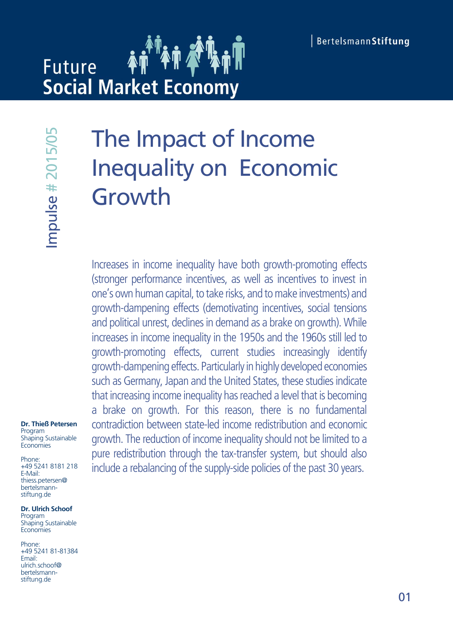# **Future Social Market Economy**

mpulse # 2015/05

**Dr. Thieß Petersen** Program Shaping Sustainable **Economies** 

Phone: +49 5241 8181 218 E-Mail: thiess.petersen@ bertelsmannstiftung.de

**Dr. Ulrich Schoof** Program Shaping Sustainable **Economies** 

Phone: +49 5241 81-81384 Email: ulrich.schoof@ bertelsmannstiftung.de

# The Impact of Income Inequality on Economic Growth

Increases in income inequality have both growth-promoting effects (stronger performance incentives, as well as incentives to invest in one's own human capital, to take risks, and to make investments) and growth-dampening effects (demotivating incentives, social tensions and political unrest, declines in demand as a brake on growth). While increases in income inequality in the 1950s and the 1960s still led to growth-promoting effects, current studies increasingly identify growth-dampening effects. Particularly in highly developed economies such as Germany, Japan and the United States, these studies indicate that increasing income inequality has reached a level that is becoming a brake on growth. For this reason, there is no fundamental contradiction between state-led income redistribution and economic growth. The reduction of income inequality should not be limited to a pure redistribution through the tax-transfer system, but should also Include a rebanding the supply-side policies of the past 318<br>
Supply-side are relationships the supply-side policies of the supply-side are reactions of the supply-side policies of the supply-side policies of the supply-si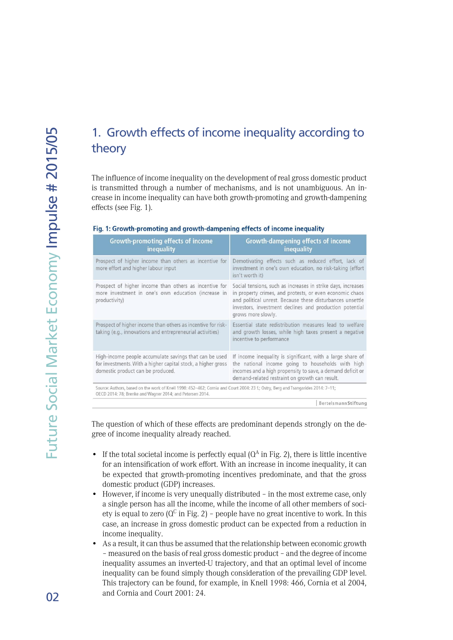# 1. Growth effects of income inequality according to theory

The influence of income inequality on the development of real gross domestic product is transmitted through a number of mechanisms, and is not unambiguous. An increase in income inequality can have both growth-promoting and growth-dampening effects (see Fig. 1).

|  |  |  |  |  |  |  |  |  | Fig. 1: Growth-promoting and growth-dampening effects of income inequality |  |
|--|--|--|--|--|--|--|--|--|----------------------------------------------------------------------------|--|
|--|--|--|--|--|--|--|--|--|----------------------------------------------------------------------------|--|

| <b>Growth-promoting effects of income</b><br>inequality                                                                                                                                       | <b>Growth-dampening effects of income</b><br><i>inequality</i>                                                                                                                                                                                                         |
|-----------------------------------------------------------------------------------------------------------------------------------------------------------------------------------------------|------------------------------------------------------------------------------------------------------------------------------------------------------------------------------------------------------------------------------------------------------------------------|
| Prospect of higher income than others as incentive for<br>more effort and higher labour input                                                                                                 | Demotivating effects such as reduced effort, lack of<br>investment in one's own education, no risk-taking (effort<br>isn't worth it)                                                                                                                                   |
| Prospect of higher income than others as incentive for<br>more investment in one's own education (increase in<br>productivity)                                                                | Social tensions, such as increases in strike days, increases<br>in property crimes, and protests, or even economic chaos<br>and political unrest. Because these disturbances unsettle<br>investors, investment declines and production potential<br>grows more slowly. |
| Prospect of higher income than others as incentive for risk-<br>taking (e.g., innovations and entrepreneurial activities)                                                                     | Essential state redistribution measures lead to welfare<br>and growth losses, while high taxes present a negative<br>incentive to performance                                                                                                                          |
| High-income people accumulate savings that can be used<br>for investments. With a higher capital stock, a higher gross<br>domestic product can be produced.                                   | If income inequality is significant, with a large share of<br>the national income going to households with high<br>incomes and a high propensity to save, a demand deficit or<br>demand-related restraint on growth can result.                                        |
| Source: Authors, based on the work of Knell 1998: 452-462; Cornia and Court 2004: 23 f.; Ostry, Berg and Tsangarides 2014: 7-11;<br>OECD 2014: 78; Brenke and Wagner 2014; and Petersen 2014. |                                                                                                                                                                                                                                                                        |

BertelsmannStiftung

The question of which of these effects are predominant depends strongly on the degree of income inequality already reached.

- If the total societal income is perfectly equal  $(Q^A$  in Fig. 2), there is little incentive for an intensification of work effort. With an increase in income inequality, it can be expected that growth-promoting incentives predominate, and that the gross domestic product (GDP) increases.
- However, if income is very unequally distributed in the most extreme case, only a single person has all the income, while the income of all other members of society is equal to zero ( $Q^C$  in Fig. 2) – people have no great incentive to work. In this case, an increase in gross domestic product can be expected from a reduction in income inequality.
- As a result, it can thus be assumed that the relationship between economic growth – measured on the basis of real gross domestic product – and the degree of income inequality assumes an inverted-U trajectory, and that an optimal level of income inequality can be found simply though consideration of the prevailing GDP level. This trajectory can be found, for example, in Knell 1998: 466, Cornia et al 2004, and Cornia and Court 2001: 24.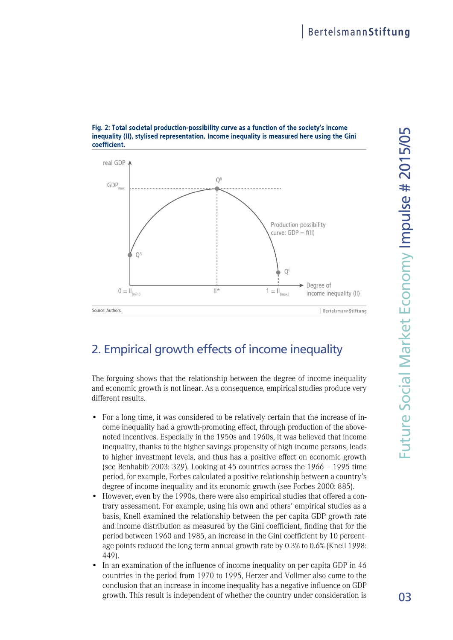

#### Fig. 2: Total societal production-possibility curve as a function of the society's income inequality (II), stylised representation. Income inequality is measured here using the Gini coefficient.

# 2. Empirical growth effects of income inequality

The forgoing shows that the relationship between the degree of income inequality and economic growth is not linear. As a consequence, empirical studies produce very different results.

- For a long time, it was considered to be relatively certain that the increase of income inequality had a growth-promoting effect, through production of the abovenoted incentives. Especially in the 1950s and 1960s, it was believed that income inequality, thanks to the higher savings propensity of high-income persons, leads to higher investment levels, and thus has a positive effect on economic growth (see Benhabib 2003: 329). Looking at 45 countries across the 1966 – 1995 time period, for example, Forbes calculated a positive relationship between a country's degree of income inequality and its economic growth (see Forbes 2000: 885).
- However, even by the 1990s, there were also empirical studies that offered a contrary assessment. For example, using his own and others' empirical studies as a basis, Knell examined the relationship between the per capita GDP growth rate and income distribution as measured by the Gini coefficient, finding that for the period between 1960 and 1985, an increase in the Gini coefficient by 10 percentage points reduced the long-term annual growth rate by 0.3% to 0.6% (Knell 1998: 449).
- In an examination of the influence of income inequality on per capita GDP in 46 countries in the period from 1970 to 1995, Herzer and Vollmer also come to the conclusion that an increase in income inequality has a negative influence on GDP growth. This result is independent of whether the country under consideration is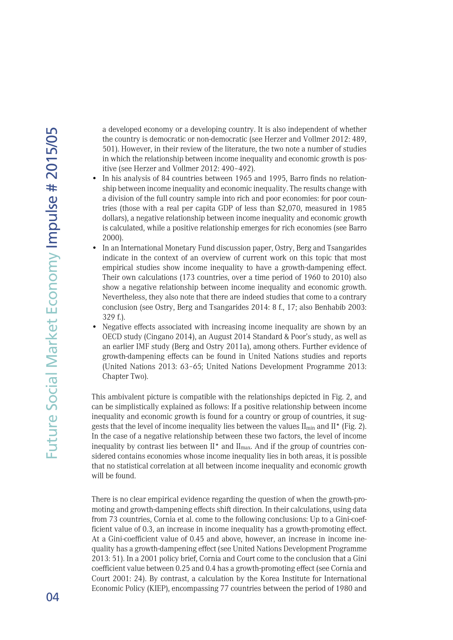a developed economy or a developing country. It is also independent of whether the country is democratic or non-democratic (see Herzer and Vollmer 2012: 489, 501). However, in their review of the literature, the two note a number of studies in which the relationship between income inequality and economic growth is positive (see Herzer and Vollmer 2012: 490–492).

- In his analysis of 84 countries between 1965 and 1995, Barro finds no relationship between income inequality and economic inequality. The results change with a division of the full country sample into rich and poor economies: for poor countries (those with a real per capita GDP of less than \$2,070, measured in 1985 dollars), a negative relationship between income inequality and economic growth is calculated, while a positive relationship emerges for rich economies (see Barro 2000).
- In an International Monetary Fund discussion paper, Ostry, Berg and Tsangarides indicate in the context of an overview of current work on this topic that most empirical studies show income inequality to have a growth-dampening effect. Their own calculations (173 countries, over a time period of 1960 to 2010) also show a negative relationship between income inequality and economic growth. Nevertheless, they also note that there are indeed studies that come to a contrary conclusion (see Ostry, Berg and Tsangarides 2014: 8 f., 17; also Benhabib 2003: 329 f.).
- Negative effects associated with increasing income inequality are shown by an OECD study (Cingano 2014), an August 2014 Standard & Poor's study, as well as an earlier IMF study (Berg and Ostry 2011a), among others. Further evidence of growth-dampening effects can be found in United Nations studies and reports (United Nations 2013: 63–65; United Nations Development Programme 2013: Chapter Two).

This ambivalent picture is compatible with the relationships depicted in Fig. 2, and can be simplistically explained as follows: If a positive relationship between income inequality and economic growth is found for a country or group of countries, it suggests that the level of income inequality lies between the values  $II_{\min}$  and  $II^*$  (Fig. 2). In the case of a negative relationship between these two factors, the level of income inequality by contrast lies between  $II^*$  and  $II_{\text{max}}$ . And if the group of countries considered contains economies whose income inequality lies in both areas, it is possible that no statistical correlation at all between income inequality and economic growth will be found.

There is no clear empirical evidence regarding the question of when the growth-promoting and growth-dampening effects shift direction. In their calculations, using data from 73 countries, Cornia et al. come to the following conclusions: Up to a Gini-coefficient value of 0.3, an increase in income inequality has a growth-promoting effect. At a Gini-coefficient value of 0.45 and above, however, an increase in income inequality has a growth-dampening effect (see United Nations Development Programme 2013: 51). In a 2001 policy brief, Cornia and Court come to the conclusion that a Gini coefficient value between 0.25 and 0.4 has a growth-promoting effect (see Cornia and Court 2001: 24). By contrast, a calculation by the Korea Institute for International Economic Policy (KIEP), encompassing 77 countries between the period of 1980 and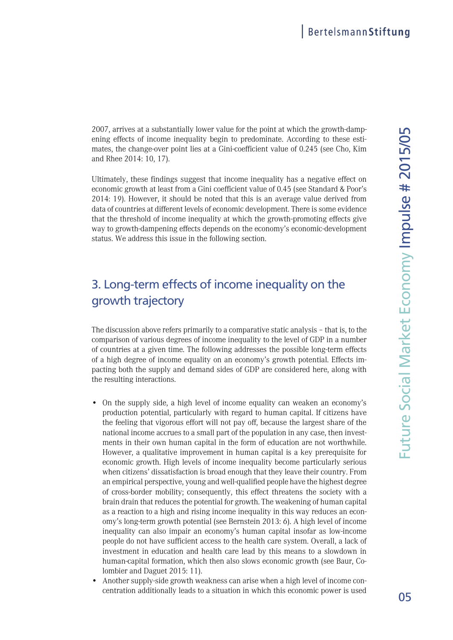2007, arrives at a substantially lower value for the point at which the growth-dampening effects of income inequality begin to predominate. According to these estimates, the change-over point lies at a Gini-coefficient value of 0.245 (see Cho, Kim and Rhee 2014: 10, 17).

Ultimately, these findings suggest that income inequality has a negative effect on economic growth at least from a Gini coefficient value of 0.45 (see Standard & Poor's 2014: 19). However, it should be noted that this is an average value derived from data of countries at different levels of economic development. There is some evidence that the threshold of income inequality at which the growth-promoting effects give way to growth-dampening effects depends on the economy's economic-development status. We address this issue in the following section.

# 3. Long-term effects of income inequality on the growth trajectory

The discussion above refers primarily to a comparative static analysis – that is, to the comparison of various degrees of income inequality to the level of GDP in a number of countries at a given time. The following addresses the possible long-term effects of a high degree of income equality on an economy's growth potential. Effects impacting both the supply and demand sides of GDP are considered here, along with the resulting interactions.

- On the supply side, a high level of income equality can weaken an economy's production potential, particularly with regard to human capital. If citizens have the feeling that vigorous effort will not pay off, because the largest share of the national income accrues to a small part of the population in any case, then investments in their own human capital in the form of education are not worthwhile. However, a qualitative improvement in human capital is a key prerequisite for economic growth. High levels of income inequality become particularly serious when citizens' dissatisfaction is broad enough that they leave their country. From an empirical perspective, young and well-qualified people have the highest degree of cross-border mobility; consequently, this effect threatens the society with a brain drain that reduces the potential for growth. The weakening of human capital as a reaction to a high and rising income inequality in this way reduces an economy's long-term growth potential (see Bernstein 2013: 6). A high level of income inequality can also impair an economy's human capital insofar as low-income people do not have sufficient access to the health care system. Overall, a lack of investment in education and health care lead by this means to a slowdown in human-capital formation, which then also slows economic growth (see Baur, Colombier and Daguet 2015: 11).
- Another supply-side growth weakness can arise when a high level of income concentration additionally leads to a situation in which this economic power is used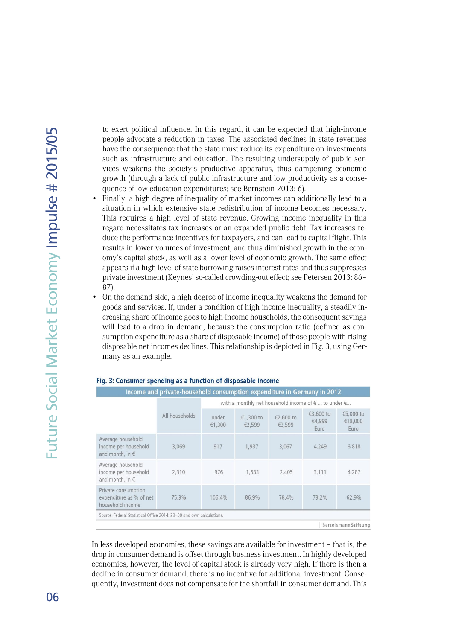to exert political influence. In this regard, it can be expected that high-income people advocate a reduction in taxes. The associated declines in state revenues have the consequence that the state must reduce its expenditure on investments such as infrastructure and education. The resulting undersupply of public services weakens the society's productive apparatus, thus dampening economic growth (through a lack of public infrastructure and low productivity as a consequence of low education expenditures; see Bernstein 2013: 6).

- Finally, a high degree of inequality of market incomes can additionally lead to a situation in which extensive state redistribution of income becomes necessary. This requires a high level of state revenue. Growing income inequality in this regard necessitates tax increases or an expanded public debt. Tax increases reduce the performance incentives for taxpayers, and can lead to capital flight. This results in lower volumes of investment, and thus diminished growth in the economy's capital stock, as well as a lower level of economic growth. The same effect appears if a high level of state borrowing raises interest rates and thus suppresses private investment (Keynes' so-called crowding-out effect; see Petersen 2013: 86– 87).
- On the demand side, a high degree of income inequality weakens the demand for goods and services. If, under a condition of high income inequality, a steadily increasing share of income goes to high-income households, the consequent savings will lead to a drop in demand, because the consumption ratio (defined as consumption expenditure as a share of disposable income) of those people with rising disposable net incomes declines. This relationship is depicted in Fig. 3, using Germany as an example.

| Income and private-household consumption expenditure in Germany in 2012 |                |                                                                       |                     |                     |                             |                              |  |  |  |
|-------------------------------------------------------------------------|----------------|-----------------------------------------------------------------------|---------------------|---------------------|-----------------------------|------------------------------|--|--|--|
|                                                                         |                | with a monthly net household income of $\epsilon$ to under $\epsilon$ |                     |                     |                             |                              |  |  |  |
|                                                                         | All households | under<br>€1,300                                                       | €1,300 to<br>€2,599 | €2,600 to<br>€3,599 | €3,600 to<br>€4,999<br>Euro | €5,000 to<br>€18,000<br>Euro |  |  |  |
| Average household<br>income per household<br>and month, in $\epsilon$   | 3,069          | 917                                                                   | 1,937               | 3,067               | 4,249                       | 6,818                        |  |  |  |
| Average household<br>income per household<br>and month, in $\epsilon$   | 2.310          | 976                                                                   | 1,683               | 2,405               | 3,111                       | 4,287                        |  |  |  |
| Private consumption<br>expenditure as % of net<br>household income      | 75.3%          | 106.4%                                                                | 86.9%               | 78.4%               | 73.2%                       | 62.9%                        |  |  |  |
| Source: Federal Statistical Office 2014: 29-30 and own calculations.    |                |                                                                       |                     |                     |                             |                              |  |  |  |
| Bertelsmann Stiftung                                                    |                |                                                                       |                     |                     |                             |                              |  |  |  |

#### Fig. 3: Consumer spending as a function of disposable income

In less developed economies, these savings are available for investment – that is, the drop in consumer demand is offset through business investment. In highly developed economies, however, the level of capital stock is already very high. If there is then a decline in consumer demand, there is no incentive for additional investment. Consequently, investment does not compensate for the shortfall in consumer demand. This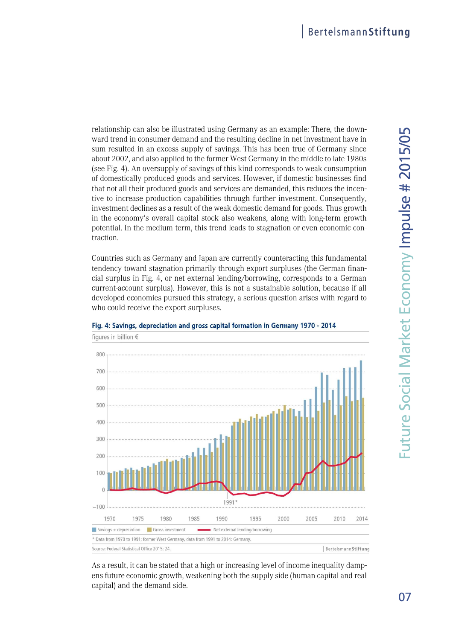relationship can also be illustrated using Germany as an example: There, the downward trend in consumer demand and the resulting decline in net investment have in sum resulted in an excess supply of savings. This has been true of Germany since about 2002, and also applied to the former West Germany in the middle to late 1980s (see Fig. 4). An oversupply of savings of this kind corresponds to weak consumption of domestically produced goods and services. However, if domestic businesses find that not all their produced goods and services are demanded, this reduces the incentive to increase production capabilities through further investment. Consequently, investment declines as a result of the weak domestic demand for goods. Thus growth in the economy's overall capital stock also weakens, along with long-term growth potential. In the medium term, this trend leads to stagnation or even economic contraction.

Countries such as Germany and Japan are currently counteracting this fundamental tendency toward stagnation primarily through export surpluses (the German financial surplus in Fig. 4, or net external lending/borrowing, corresponds to a German current-account surplus). However, this is not a sustainable solution, because if all developed economies pursued this strategy, a serious question arises with regard to who could receive the export surpluses.



#### Fig. 4: Savings, depreciation and gross capital formation in Germany 1970 - 2014

As a result, it can be stated that a high or increasing level of income inequality dampens future economic growth, weakening both the supply side (human capital and real capital) and the demand side.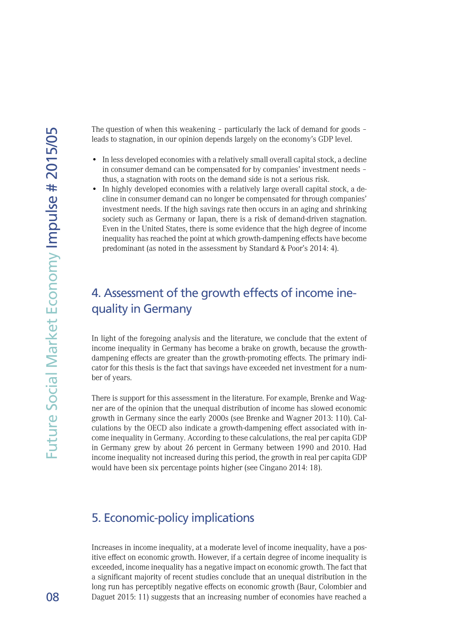The question of when this weakening – particularly the lack of demand for goods – leads to stagnation, in our opinion depends largely on the economy's GDP level.

- In less developed economies with a relatively small overall capital stock, a decline in consumer demand can be compensated for by companies' investment needs – thus, a stagnation with roots on the demand side is not a serious risk.
- In highly developed economies with a relatively large overall capital stock, a decline in consumer demand can no longer be compensated for through companies' investment needs. If the high savings rate then occurs in an aging and shrinking society such as Germany or Japan, there is a risk of demand-driven stagnation. Even in the United States, there is some evidence that the high degree of income inequality has reached the point at which growth-dampening effects have become predominant (as noted in the assessment by Standard & Poor's 2014: 4).

## 4. Assessment of the growth effects of income inequality in Germany

In light of the foregoing analysis and the literature, we conclude that the extent of income inequality in Germany has become a brake on growth, because the growthdampening effects are greater than the growth-promoting effects. The primary indicator for this thesis is the fact that savings have exceeded net investment for a number of years.

There is support for this assessment in the literature. For example, Brenke and Wagner are of the opinion that the unequal distribution of income has slowed economic growth in Germany since the early 2000s (see Brenke and Wagner 2013: 110). Calculations by the OECD also indicate a growth-dampening effect associated with income inequality in Germany. According to these calculations, the real per capita GDP in Germany grew by about 26 percent in Germany between 1990 and 2010. Had income inequality not increased during this period, the growth in real per capita GDP would have been six percentage points higher (see Cingano 2014: 18).

## 5. Economic-policy implications

Increases in income inequality, at a moderate level of income inequality, have a positive effect on economic growth. However, if a certain degree of income inequality is exceeded, income inequality has a negative impact on economic growth. The fact that a significant majority of recent studies conclude that an unequal distribution in the long run has perceptibly negative effects on economic growth (Baur, Colombier and Daguet 2015: 11) suggests that an increasing number of economies have reached a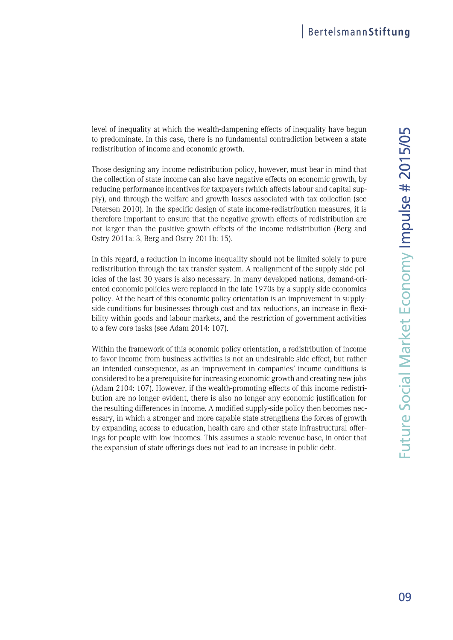level of inequality at which the wealth-dampening effects of inequality have begun to predominate. In this case, there is no fundamental contradiction between a state redistribution of income and economic growth.

Those designing any income redistribution policy, however, must bear in mind that the collection of state income can also have negative effects on economic growth, by reducing performance incentives for taxpayers (which affects labour and capital supply), and through the welfare and growth losses associated with tax collection (see Petersen 2010). In the specific design of state income-redistribution measures, it is therefore important to ensure that the negative growth effects of redistribution are not larger than the positive growth effects of the income redistribution (Berg and Ostry 2011a: 3, Berg and Ostry 2011b: 15).

In this regard, a reduction in income inequality should not be limited solely to pure redistribution through the tax-transfer system. A realignment of the supply-side policies of the last 30 years is also necessary. In many developed nations, demand-oriented economic policies were replaced in the late 1970s by a supply-side economics policy. At the heart of this economic policy orientation is an improvement in supplyside conditions for businesses through cost and tax reductions, an increase in flexibility within goods and labour markets, and the restriction of government activities to a few core tasks (see Adam 2014: 107).

Within the framework of this economic policy orientation, a redistribution of income to favor income from business activities is not an undesirable side effect, but rather an intended consequence, as an improvement in companies' income conditions is considered to be a prerequisite for increasing economic growth and creating new jobs (Adam 2104: 107). However, if the wealth-promoting effects of this income redistribution are no longer evident, there is also no longer any economic justification for the resulting differences in income. A modified supply-side policy then becomes necessary, in which a stronger and more capable state strengthens the forces of growth by expanding access to education, health care and other state infrastructural offerings for people with low incomes. This assumes a stable revenue base, in order that the expansion of state offerings does not lead to an increase in public debt.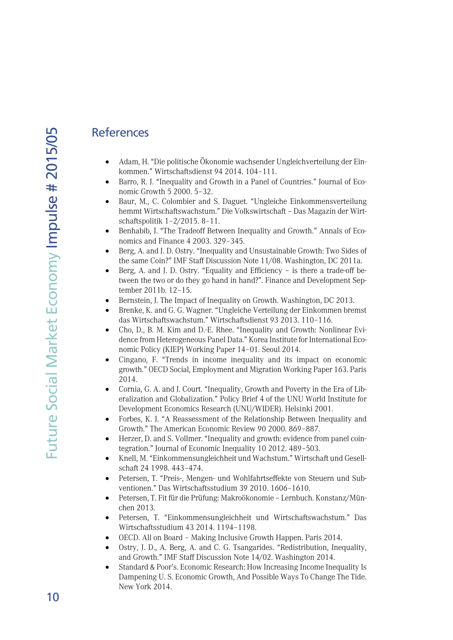### **References**

- Adam, H. "Die politische Ökonomie wachsender Ungleichverteilung der Einkommen." Wirtschaftsdienst 94 2014. 104–111.
- Barro, R. J. "Inequality and Growth in a Panel of Countries." Journal of Economic Growth 5 2000. 5–32.
- Baur, M., C. Colombier and S. Daguet. "Ungleiche Einkommensverteilung hemmt Wirtschaftswachstum." Die Volkswirtschaft – Das Magazin der Wirtschaftspolitik 1–2/2015. 8–11.
- Benhabib, J. "The Tradeoff Between Inequality and Growth." Annals of Economics and Finance 4 2003. 329–345.
- Berg, A. and J. D. Ostry. "Inequality and Unsustainable Growth: Two Sides of the same Coin?" IMF Staff Discussion Note 11/08. Washington, DC 2011a.
- Berg, A. and J. D. Ostry. "Equality and Efficiency is there a trade-off between the two or do they go hand in hand?". Finance and Development September 2011b. 12–15.
- Bernstein, J. The Impact of Inequality on Growth. Washington, DC 2013.
- Brenke, K. and G. G. Wagner. "Ungleiche Verteilung der Einkommen bremst das Wirtschaftswachstum." Wirtschaftsdienst 93 2013. 110–116.
- Cho, D., B. M. Kim and D.-E. Rhee. "Inequality and Growth: Nonlinear Evidence from Heterogeneous Panel Data." Korea Institute for International Economic Policy (KIEP) Working Paper 14–01. Seoul 2014.
- Cingano, F. "Trends in income inequality and its impact on economic growth." OECD Social, Employment and Migration Working Paper 163. Paris 2014.
- Cornia, G. A. and J. Court. "Inequality, Growth and Poverty in the Era of Liberalization and Globalization." Policy Brief 4 of the UNU World Institute for Development Economics Research (UNU/WIDER). Helsinki 2001.
- Forbes, K. J. "A Reassessment of the Relationship Between Inequality and Growth." The American Economic Review 90 2000. 869–887.
- Herzer, D. and S. Vollmer. "Inequality and growth: evidence from panel cointegration." Journal of Economic Inequality 10 2012. 489–503.
- Knell, M. "Einkommensungleichheit und Wachstum." Wirtschaft und Gesellschaft 24 1998. 443–474.
- Petersen, T. "Preis-, Mengen- und Wohlfahrtseffekte von Steuern und Subventionen." Das Wirtschaftsstudium 39 2010. 1606–1610.
- Petersen, T. Fit für die Prüfung: Makroökonomie Lernbuch. Konstanz/München 2013.
- Petersen, T. "Einkommensungleichheit und Wirtschaftswachstum." Das Wirtschaftsstudium 43 2014. 1194–1198.
- OECD. All on Board Making Inclusive Growth Happen. Paris 2014.
- Ostry, J. D., A. Berg, A. and C. G. Tsangarides. "Redistribution, Inequality, and Growth." IMF Staff Discussion Note 14/02. Washington 2014.
- Standard & Poor's. Economic Research: How Increasing Income Inequality Is Dampening U. S. Economic Growth, And Possible Ways To Change The Tide. New York 2014.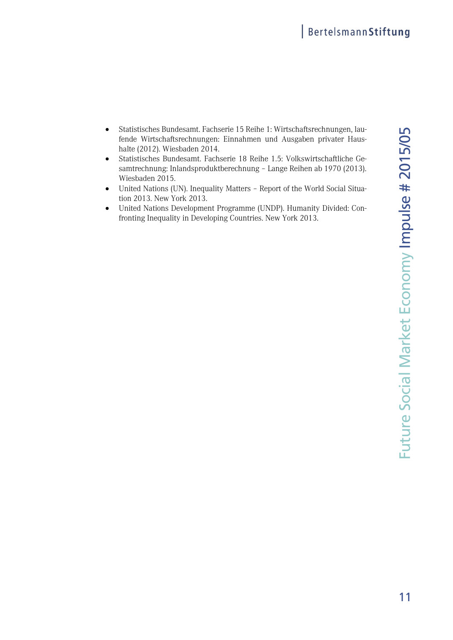- Statistisches Bundesamt. Fachserie 15 Reihe 1: Wirtschaftsrechnungen, lau- <sup>5</sup>fende Wirtschaftsrechnungen: Einnahmen und Ausgaben privater Haushalte (2012). Wiesbaden 2014.
- Statistisches Bundesamt. Fachserie 18 Reihe 1.5: Volkswirtschaftliche Gesamtrechnung: Inlandsproduktberechnung – Lange Reihen ab 1970 (2013). Wiesbaden 2015.
- United Nations (UN). Inequality Matters Report of the World Social Situation 2013. New York 2013.
- United Nations Development Programme (UNDP). Humanity Divided: Confronting Inequality in Developing Countries. New York 2013.